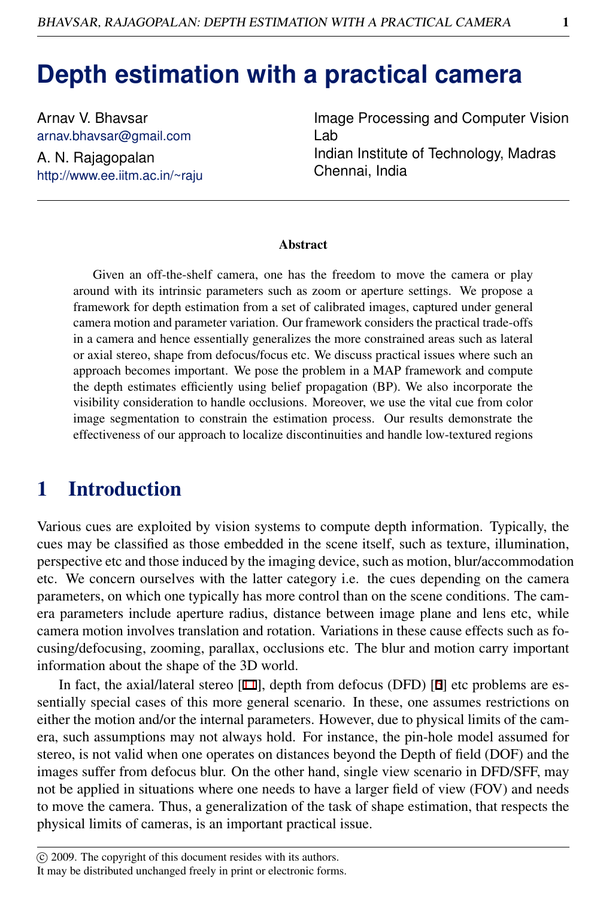# **Depth estimation with a practical camera**

Arnav V. Bhavsar arnav.bhavsar@gmail.com A. N. Rajagopalan http://www.ee.iitm.ac.in/~raju Image Processing and Computer Vision Lab Indian Institute of Technology, Madras Chennai, India

#### **Abstract**

Given an off-the-shelf camera, one has the freedom to move the camera or play around with its intrinsic parameters such as zoom or aperture settings. We propose a framework for depth estimation from a set of calibrated images, captured under general camera motion and parameter variation. Our framework considers the practical trade-offs in a camera and hence essentially generalizes the more constrained areas such as lateral or axial stereo, shape from defocus/focus etc. We discuss practical issues where such an approach becomes important. We pose the problem in a MAP framework and compute the depth estimates efficiently using belief propagation (BP). We also incorporate the visibility consideration to handle occlusions. Moreover, we use the vital cue from color image segmentation to constrain the estimation process. Our results demonstrate the effectiveness of our approach to localize discontinuities and handle low-textured regions

# 1 Introduction

Various cues are exploited by vision systems to compute depth information. Typically, the cues may be classified as those embedded in the scene itself, such as texture, illumination, perspective etc and those induced by the imaging device, such as motion, blur/accommodation etc. We concern ourselves with the latter category i.e. the cues depending on the camera parameters, on which one typically has more control than on the scene conditions. The camera parameters include aperture radius, distance between image plane and lens etc, while camera motion involves translation and rotation. Variations in these cause effects such as focusing/defocusing, zooming, parallax, occlusions etc. The blur and motion carry important information about the shape of the 3D world.

In fact, the axial/lateral stereo  $[11]$ , depth from defocus (DFD)  $[6]$  etc problems are essentially special cases of this more general scenario. In these, one assumes restrictions on either the motion and/or the internal parameters. However, due to physical limits of the camera, such assumptions may not always hold. For instance, the pin-hole model assumed for stereo, is not valid when one operates on distances beyond the Depth of field (DOF) and the images suffer from defocus blur. On the other hand, single view scenario in DFD/SFF, may not be applied in situations where one needs to have a larger field of view (FOV) and needs to move the camera. Thus, a generalization of the task of shape estimation, that respects the physical limits of cameras, is an important practical issue.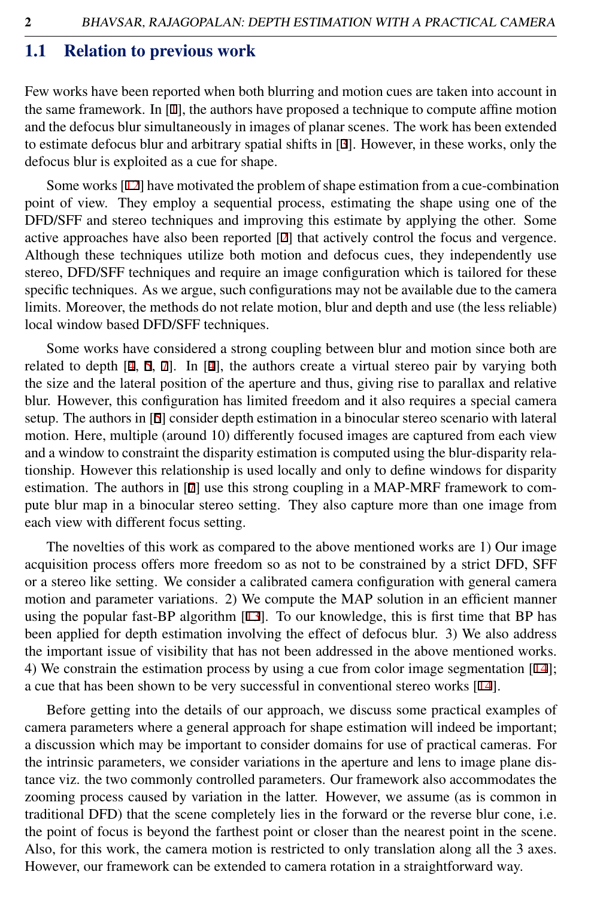#### 1.1 Relation to previous work

Few works have been reported when both blurring and motion cues are taken into account in the same framework. In  $[1]$ , the authors have proposed a technique to compute affine motion and the defocus blur simultaneously in images of planar scenes. The work has been extended to estimate defocus blur and arbitrary spatial shifts in [3]. However, in these works, only the defocus blur is exploited as a cue for shape.

Some works [12] have motivated the problem of shape estimation from a cue-combination point of view. They employ a sequential process, estimating the shape using one of the DFD/SFF and stereo techniques and improving this estimate by applying the other. Some active approaches have also been reported [2] that actively control the focus and vergence. Although these techniques utilize both motion and defocus cues, they independently use stereo, DFD/SFF techniques and require an image configuration which is tailored for these specific techniques. As we argue, such configurations may not be available due to the camera limits. Moreover, the methods do not relate motion, blur and depth and use (the less reliable) local window based DFD/SFF techniques.

Some works have considered a strong coupling between blur and motion since both are related to depth  $[4, 5, 7]$ . In  $[4]$ , the authors create a virtual stereo pair by varying both the size and the lateral position of the aperture and thus, giving rise to parallax and relative blur. However, this configuration has limited freedom and it also requires a special camera setup. The authors in [5] consider depth estimation in a binocular stereo scenario with lateral motion. Here, multiple (around 10) differently focused images are captured from each view and a window to constraint the disparity estimation is computed using the blur-disparity relationship. However this relationship is used locally and only to define windows for disparity estimation. The authors in [7] use this strong coupling in a MAP-MRF framework to compute blur map in a binocular stereo setting. They also capture more than one image from each view with different focus setting.

The novelties of this work as compared to the above mentioned works are 1) Our image acquisition process offers more freedom so as not to be constrained by a strict DFD, SFF or a stereo like setting. We consider a calibrated camera configuration with general camera motion and parameter variations. 2) We compute the MAP solution in an efficient manner using the popular fast-BP algorithm [13]. To our knowledge, this is first time that BP has been applied for depth estimation involving the effect of defocus blur. 3) We also address the important issue of visibility that has not been addressed in the above mentioned works. 4) We constrain the estimation process by using a cue from color image segmentation [14]; a cue that has been shown to be very successful in conventional stereo works [14].

Before getting into the details of our approach, we discuss some practical examples of camera parameters where a general approach for shape estimation will indeed be important; a discussion which may be important to consider domains for use of practical cameras. For the intrinsic parameters, we consider variations in the aperture and lens to image plane distance viz. the two commonly controlled parameters. Our framework also accommodates the zooming process caused by variation in the latter. However, we assume (as is common in traditional DFD) that the scene completely lies in the forward or the reverse blur cone, i.e. the point of focus is beyond the farthest point or closer than the nearest point in the scene. Also, for this work, the camera motion is restricted to only translation along all the 3 axes. However, our framework can be extended to camera rotation in a straightforward way.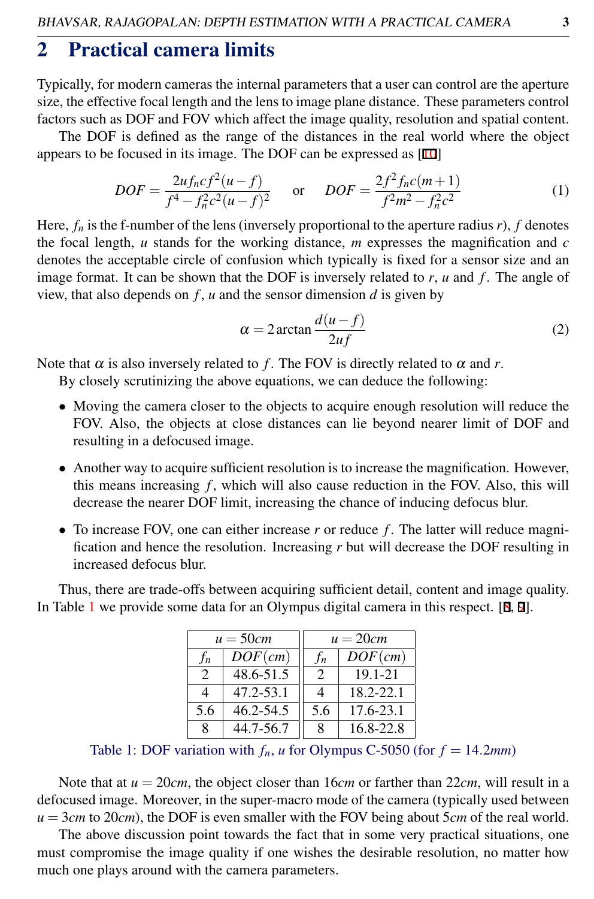# 2 Practical camera limits

Typically, for modern cameras the internal parameters that a user can control are the aperture size, the effective focal length and the lens to image plane distance. These parameters control factors such as DOF and FOV which affect the image quality, resolution and spatial content.

The DOF is defined as the range of the distances in the real world where the object appears to be focused in its image. The DOF can be expressed as [10]

$$
DOF = \frac{2uf_ncf^2(u-f)}{f^4 - f_n^2c^2(u-f)^2} \quad \text{or} \quad DOF = \frac{2f^2f_nc(m+1)}{f^2m^2 - f_n^2c^2}
$$
 (1)

Here,  $f_n$  is the f-number of the lens (inversely proportional to the aperture radius  $r$ ),  $f$  denotes the focal length, *u* stands for the working distance, *m* expresses the magnification and *c* denotes the acceptable circle of confusion which typically is fixed for a sensor size and an image format. It can be shown that the DOF is inversely related to *r*, *u* and *f* . The angle of view, that also depends on  $f$ ,  $u$  and the sensor dimension  $d$  is given by

$$
\alpha = 2 \arctan \frac{d(u - f)}{2uf} \tag{2}
$$

Note that  $\alpha$  is also inversely related to f. The FOV is directly related to  $\alpha$  and r.

By closely scrutinizing the above equations, we can deduce the following:

- Moving the camera closer to the objects to acquire enough resolution will reduce the FOV. Also, the objects at close distances can lie beyond nearer limit of DOF and resulting in a defocused image.
- Another way to acquire sufficient resolution is to increase the magnification. However, this means increasing  $f$ , which will also cause reduction in the FOV. Also, this will decrease the nearer DOF limit, increasing the chance of inducing defocus blur.
- To increase FOV, one can either increase r or reduce f. The latter will reduce magnification and hence the resolution. Increasing *r* but will decrease the DOF resulting in increased defocus blur.

Thus, there are trade-offs between acquiring sufficient detail, content and image quality. In Table [1](#page-2-0) we provide some data for an Olympus digital camera in this respect. [8, 9].

| $u = 50cm$                  |               | $u = 20cm$    |            |
|-----------------------------|---------------|---------------|------------|
| $f_n$                       | $DOF$ (cm)    | $f_n$         | $DOF$ (cm) |
| $\mathcal{D}_{\mathcal{L}}$ | 48.6-51.5     | $\mathcal{D}$ | 19.1-21    |
| 4                           | $47.2 - 53.1$ | 4             | 18.2-22.1  |
| 5.6                         | 46.2-54.5     | 5.6           | 17.6-23.1  |
| 8                           | 44.7-56.7     | 8             | 16.8-22.8  |

<span id="page-2-0"></span>Table 1: DOF variation with  $f_n$ , *u* for Olympus C-5050 (for  $f = 14.2$ *mm*)

Note that at  $u = 20cm$ , the object closer than 16*cm* or farther than 22*cm*, will result in a defocused image. Moreover, in the super-macro mode of the camera (typically used between *u* = 3*cm* to 20*cm*), the DOF is even smaller with the FOV being about 5*cm* of the real world.

The above discussion point towards the fact that in some very practical situations, one must compromise the image quality if one wishes the desirable resolution, no matter how much one plays around with the camera parameters.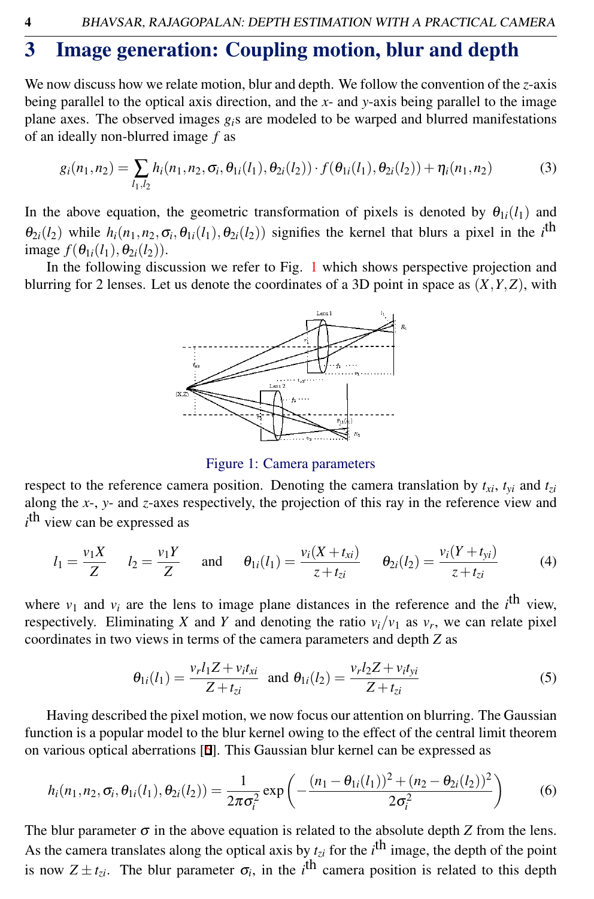# 3 Image generation: Coupling motion, blur and depth

We now discuss how we relate motion, blur and depth. We follow the convention of the *z*-axis being parallel to the optical axis direction, and the *x*- and *y*-axis being parallel to the image plane axes. The observed images *gi*s are modeled to be warped and blurred manifestations of an ideally non-blurred image *f* as

<span id="page-3-2"></span>
$$
g_i(n_1, n_2) = \sum_{l_1, l_2} h_i(n_1, n_2, \sigma_i, \theta_{1i}(l_1), \theta_{2i}(l_2)) \cdot f(\theta_{1i}(l_1), \theta_{2i}(l_2)) + \eta_i(n_1, n_2)
$$
(3)

In the above equation, the geometric transformation of pixels is denoted by  $\theta_{1i}(l_1)$  and  $\theta_{2i}(l_2)$  while  $h_i(n_1,n_2,\sigma_i,\theta_{1i}(l_1),\theta_{2i}(l_2))$  signifies the kernel that blurs a pixel in the *i*<sup>th</sup> image  $f(\theta_{1i}(l_1), \theta_{2i}(l_2))$ .

In the following discussion we refer to Fig. [1](#page-3-0) which shows perspective projection and blurring for 2 lenses. Let us denote the coordinates of a 3D point in space as (*X*,*Y*,*Z*), with



<span id="page-3-0"></span>Figure 1: Camera parameters

respect to the reference camera position. Denoting the camera translation by  $t_{xi}$ ,  $t_{yi}$  and  $t_{zi}$ along the *x*-, *y*- and *z*-axes respectively, the projection of this ray in the reference view and *i*<sup>th</sup> view can be expressed as

$$
l_1 = \frac{v_1 X}{Z}
$$
  $l_2 = \frac{v_1 Y}{Z}$  and  $\theta_{1i}(l_1) = \frac{v_i (X + t_{xi})}{z + t_{zi}}$   $\theta_{2i}(l_2) = \frac{v_i (Y + t_{yi})}{z + t_{zi}}$  (4)

where  $v_1$  and  $v_i$  are the lens to image plane distances in the reference and the *i*<sup>th</sup> view, respectively. Eliminating *X* and *Y* and denoting the ratio  $v_i/v_1$  as  $v_r$ , we can relate pixel coordinates in two views in terms of the camera parameters and depth *Z* as

$$
\theta_{1i}(l_1) = \frac{v_r l_1 Z + v_i t_{xi}}{Z + t_{zi}} \text{ and } \theta_{1i}(l_2) = \frac{v_r l_2 Z + v_i t_{yi}}{Z + t_{zi}}
$$
(5)

Having described the pixel motion, we now focus our attention on blurring. The Gaussian function is a popular model to the blur kernel owing to the effect of the central limit theorem on various optical aberrations [6]. This Gaussian blur kernel can be expressed as

<span id="page-3-1"></span>
$$
h_i(n_1, n_2, \sigma_i, \theta_{1i}(l_1), \theta_{2i}(l_2)) = \frac{1}{2\pi\sigma_i^2} \exp\left(-\frac{(n_1 - \theta_{1i}(l_1))^2 + (n_2 - \theta_{2i}(l_2))^2}{2\sigma_i^2}\right) \tag{6}
$$

The blur parameter  $\sigma$  in the above equation is related to the absolute depth *Z* from the lens. As the camera translates along the optical axis by  $t_{zi}$  for the  $i^{\text{th}}$  image, the depth of the point is now  $Z \pm t_{zi}$ . The blur parameter  $\sigma_i$ , in the *i*<sup>th</sup> camera position is related to this depth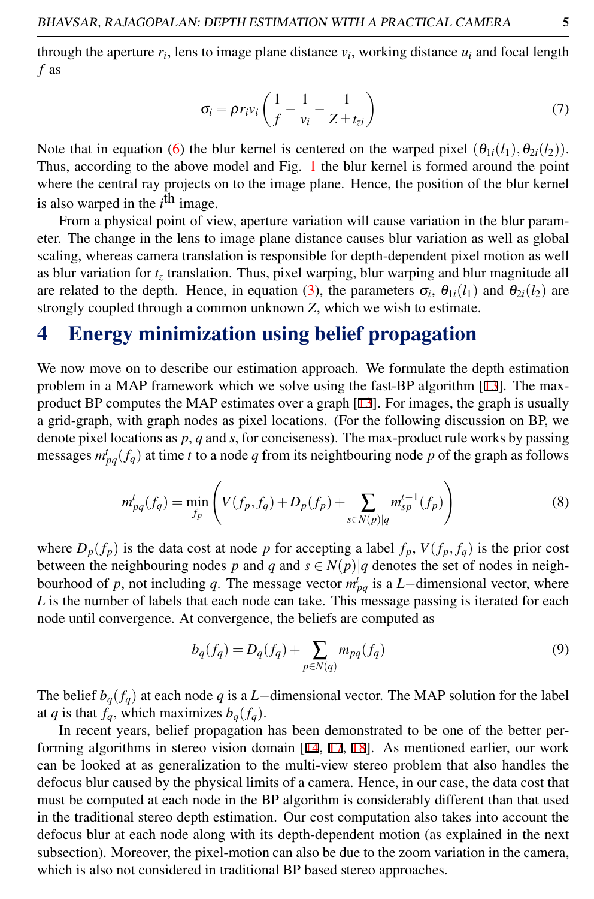through the aperture  $r_i$ , lens to image plane distance  $v_i$ , working distance  $u_i$  and focal length *f* as

<span id="page-4-0"></span>
$$
\sigma_i = \rho r_i v_i \left( \frac{1}{f} - \frac{1}{v_i} - \frac{1}{Z \pm t_{zi}} \right) \tag{7}
$$

Note that in equation [\(6\)](#page-3-1) the blur kernel is centered on the warped pixel  $(\theta_{1i}(l_1), \theta_{2i}(l_2))$ . Thus, according to the above model and Fig. [1](#page-3-0) the blur kernel is formed around the point where the central ray projects on to the image plane. Hence, the position of the blur kernel is also warped in the *i*<sup>th</sup> image.

From a physical point of view, aperture variation will cause variation in the blur parameter. The change in the lens to image plane distance causes blur variation as well as global scaling, whereas camera translation is responsible for depth-dependent pixel motion as well as blur variation for  $t<sub>z</sub>$  translation. Thus, pixel warping, blur warping and blur magnitude all are related to the depth. Hence, in equation [\(3\)](#page-3-2), the parameters  $\sigma_i$ ,  $\theta_{1i}(l_1)$  and  $\theta_{2i}(l_2)$  are strongly coupled through a common unknown *Z*, which we wish to estimate.

## 4 Energy minimization using belief propagation

We now move on to describe our estimation approach. We formulate the depth estimation problem in a MAP framework which we solve using the fast-BP algorithm [13]. The maxproduct BP computes the MAP estimates over a graph [13]. For images, the graph is usually a grid-graph, with graph nodes as pixel locations. (For the following discussion on BP, we denote pixel locations as *p*, *q* and *s*, for conciseness). The max-product rule works by passing messages  $m_{pq}^t(f_q)$  at time *t* to a node *q* from its neightbouring node *p* of the graph as follows

$$
m_{pq}^t(f_q) = \min_{f_p} \left( V(f_p, f_q) + D_p(f_p) + \sum_{s \in N(p)|q} m_{sp}^{t-1}(f_p) \right)
$$
(8)

where  $D_p(f_p)$  is the data cost at node *p* for accepting a label  $f_p$ ,  $V(f_p, f_q)$  is the prior cost between the neighbouring nodes *p* and *q* and  $s \in N(p)|q$  denotes the set of nodes in neighbourhood of *p*, not including *q*. The message vector  $m_{pq}^t$  is a *L*−dimensional vector, where L is the number of labels that each node can take. This message passing is iterated for each node until convergence. At convergence, the beliefs are computed as

$$
b_q(f_q) = D_q(f_q) + \sum_{p \in N(q)} m_{pq}(f_q)
$$
\n(9)

The belief  $b_q(f_q)$  at each node *q* is a *L*−dimensional vector. The MAP solution for the label at *q* is that  $f_a$ , which maximizes  $b_a(f_a)$ .

In recent years, belief propagation has been demonstrated to be one of the better performing algorithms in stereo vision domain [14, 17, 18]. As mentioned earlier, our work can be looked at as generalization to the multi-view stereo problem that also handles the defocus blur caused by the physical limits of a camera. Hence, in our case, the data cost that must be computed at each node in the BP algorithm is considerably different than that used in the traditional stereo depth estimation. Our cost computation also takes into account the defocus blur at each node along with its depth-dependent motion (as explained in the next subsection). Moreover, the pixel-motion can also be due to the zoom variation in the camera, which is also not considered in traditional BP based stereo approaches.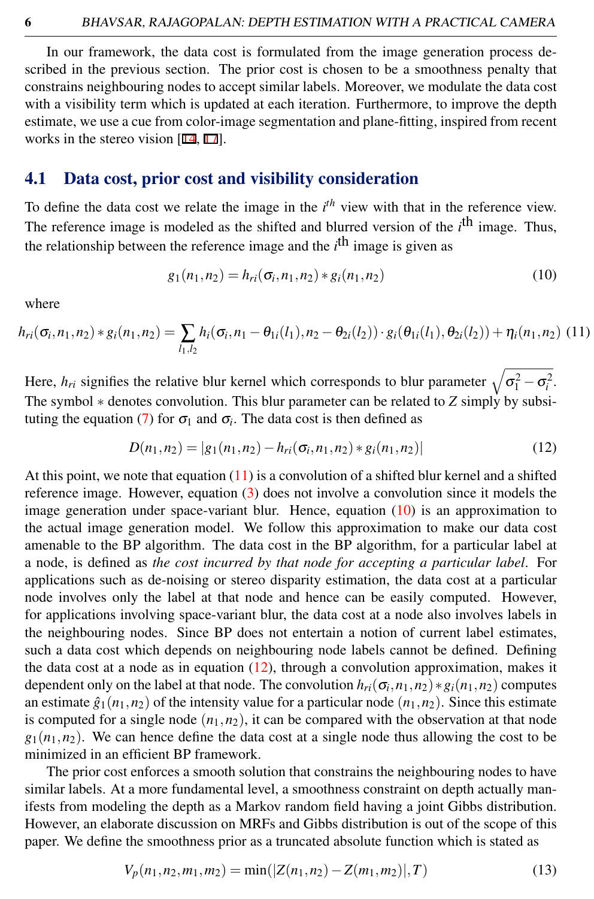In our framework, the data cost is formulated from the image generation process described in the previous section. The prior cost is chosen to be a smoothness penalty that constrains neighbouring nodes to accept similar labels. Moreover, we modulate the data cost with a visibility term which is updated at each iteration. Furthermore, to improve the depth estimate, we use a cue from color-image segmentation and plane-fitting, inspired from recent works in the stereo vision [14, 17].

### 4.1 Data cost, prior cost and visibility consideration

To define the data cost we relate the image in the *i th* view with that in the reference view. The reference image is modeled as the shifted and blurred version of the *i*<sup>th</sup> image. Thus, the relationship between the reference image and the *i*<sup>th</sup> image is given as

<span id="page-5-1"></span>
$$
g_1(n_1, n_2) = h_{ri}(\sigma_i, n_1, n_2) * g_i(n_1, n_2)
$$
\n(10)

where

<span id="page-5-0"></span>
$$
h_{ri}(\sigma_i, n_1, n_2) * g_i(n_1, n_2) = \sum_{l_1, l_2} h_i(\sigma_i, n_1 - \theta_{1i}(l_1), n_2 - \theta_{2i}(l_2)) \cdot g_i(\theta_{1i}(l_1), \theta_{2i}(l_2)) + \eta_i(n_1, n_2)
$$
(11)

Here,  $h_{ri}$  signifies the relative blur kernel which corresponds to blur parameter  $\sqrt{\sigma_1^2 - \sigma_i^2}$ . The symbol ∗ denotes convolution. This blur parameter can be related to *Z* simply by subsi-tuting the equation [\(7\)](#page-4-0) for  $\sigma_1$  and  $\sigma_i$ . The data cost is then defined as

<span id="page-5-2"></span>
$$
D(n_1, n_2) = |g_1(n_1, n_2) - h_{ri}(\sigma_i, n_1, n_2) * g_i(n_1, n_2)|
$$
\n(12)

At this point, we note that equation  $(11)$  is a convolution of a shifted blur kernel and a shifted reference image. However, equation [\(3\)](#page-3-2) does not involve a convolution since it models the image generation under space-variant blur. Hence, equation [\(10\)](#page-5-1) is an approximation to the actual image generation model. We follow this approximation to make our data cost amenable to the BP algorithm. The data cost in the BP algorithm, for a particular label at a node, is defined as *the cost incurred by that node for accepting a particular label*. For applications such as de-noising or stereo disparity estimation, the data cost at a particular node involves only the label at that node and hence can be easily computed. However, for applications involving space-variant blur, the data cost at a node also involves labels in the neighbouring nodes. Since BP does not entertain a notion of current label estimates, such a data cost which depends on neighbouring node labels cannot be defined. Defining the data cost at a node as in equation  $(12)$ , through a convolution approximation, makes it dependent only on the label at that node. The convolution  $h_{ri}(\sigma_i, n_1, n_2) * g_i(n_1, n_2)$  computes an estimate  $\hat{g}_1(n_1, n_2)$  of the intensity value for a particular node  $(n_1, n_2)$ . Since this estimate is computed for a single node  $(n_1, n_2)$ , it can be compared with the observation at that node  $g_1(n_1, n_2)$ . We can hence define the data cost at a single node thus allowing the cost to be minimized in an efficient BP framework.

The prior cost enforces a smooth solution that constrains the neighbouring nodes to have similar labels. At a more fundamental level, a smoothness constraint on depth actually manifests from modeling the depth as a Markov random field having a joint Gibbs distribution. However, an elaborate discussion on MRFs and Gibbs distribution is out of the scope of this paper. We define the smoothness prior as a truncated absolute function which is stated as

$$
V_p(n_1, n_2, m_1, m_2) = \min(|Z(n_1, n_2) - Z(m_1, m_2)|, T)
$$
\n(13)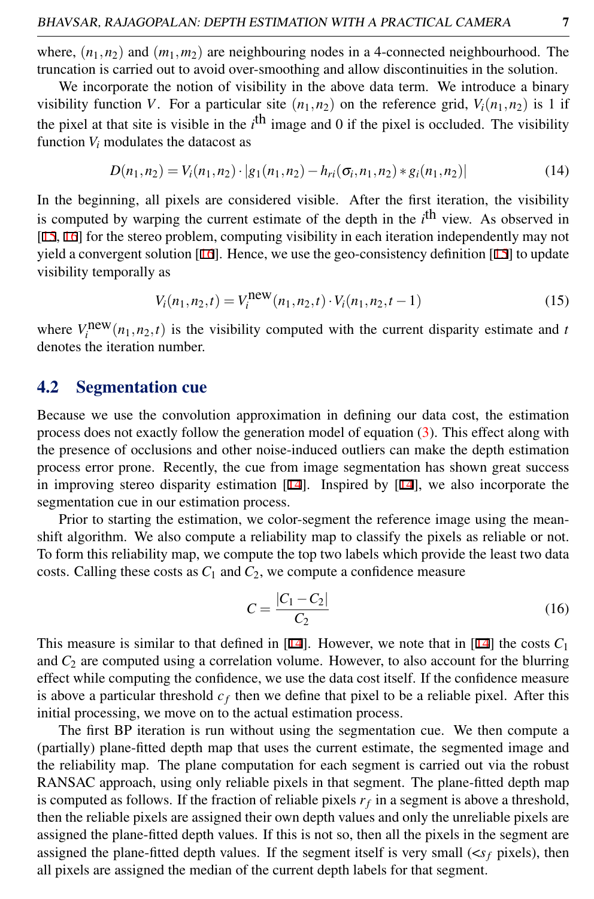where,  $(n_1, n_2)$  and  $(m_1, m_2)$  are neighbouring nodes in a 4-connected neighbourhood. The truncation is carried out to avoid over-smoothing and allow discontinuities in the solution.

We incorporate the notion of visibility in the above data term. We introduce a binary visibility function *V*. For a particular site  $(n_1, n_2)$  on the reference grid,  $V_i(n_1, n_2)$  is 1 if the pixel at that site is visible in the *i*<sup>th</sup> image and 0 if the pixel is occluded. The visibility function  $V_i$  modulates the datacost as

$$
D(n_1, n_2) = V_i(n_1, n_2) \cdot |g_1(n_1, n_2) - h_{ri}(\sigma_i, n_1, n_2) * g_i(n_1, n_2)|
$$
\n(14)

In the beginning, all pixels are considered visible. After the first iteration, the visibility is computed by warping the current estimate of the depth in the *i*<sup>th</sup> view. As observed in [15, 16] for the stereo problem, computing visibility in each iteration independently may not yield a convergent solution  $[16]$ . Hence, we use the geo-consistency definition  $[15]$  to update visibility temporally as

$$
V_i(n_1, n_2, t) = V_i^{\text{new}}(n_1, n_2, t) \cdot V_i(n_1, n_2, t - 1)
$$
\n(15)

where  $V_i^{\text{new}}(n_1, n_2, t)$  is the visibility computed with the current disparity estimate and *t* denotes the iteration number.

new

#### 4.2 Segmentation cue

Because we use the convolution approximation in defining our data cost, the estimation process does not exactly follow the generation model of equation [\(3\)](#page-3-2). This effect along with the presence of occlusions and other noise-induced outliers can make the depth estimation process error prone. Recently, the cue from image segmentation has shown great success in improving stereo disparity estimation [14]. Inspired by [14], we also incorporate the segmentation cue in our estimation process.

Prior to starting the estimation, we color-segment the reference image using the meanshift algorithm. We also compute a reliability map to classify the pixels as reliable or not. To form this reliability map, we compute the top two labels which provide the least two data costs. Calling these costs as  $C_1$  and  $C_2$ , we compute a confidence measure

$$
C = \frac{|C_1 - C_2|}{C_2} \tag{16}
$$

This measure is similar to that defined in  $[14]$ . However, we note that in  $[14]$  the costs  $C_1$ and  $C_2$  are computed using a correlation volume. However, to also account for the blurring effect while computing the confidence, we use the data cost itself. If the confidence measure is above a particular threshold  $c_f$  then we define that pixel to be a reliable pixel. After this initial processing, we move on to the actual estimation process.

The first BP iteration is run without using the segmentation cue. We then compute a (partially) plane-fitted depth map that uses the current estimate, the segmented image and the reliability map. The plane computation for each segment is carried out via the robust RANSAC approach, using only reliable pixels in that segment. The plane-fitted depth map is computed as follows. If the fraction of reliable pixels  $r_f$  in a segment is above a threshold, then the reliable pixels are assigned their own depth values and only the unreliable pixels are assigned the plane-fitted depth values. If this is not so, then all the pixels in the segment are assigned the plane-fitted depth values. If the segment itself is very small  $(\langle s_f \rangle)$  pixels), then all pixels are assigned the median of the current depth labels for that segment.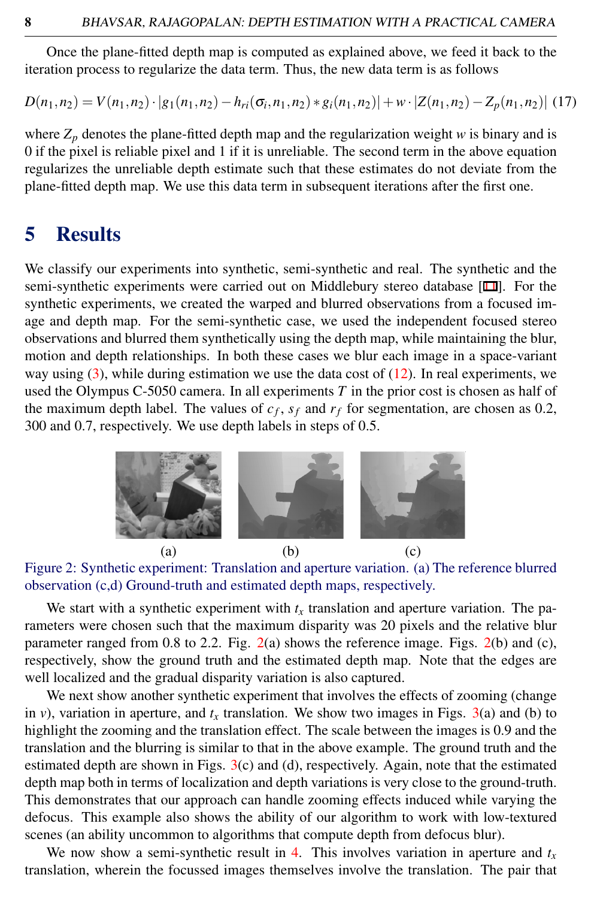Once the plane-fitted depth map is computed as explained above, we feed it back to the iteration process to regularize the data term. Thus, the new data term is as follows

$$
D(n_1, n_2) = V(n_1, n_2) \cdot |g_1(n_1, n_2) - h_{ri}(\sigma_i, n_1, n_2) * g_i(n_1, n_2)| + w \cdot |Z(n_1, n_2) - Z_p(n_1, n_2)| \tag{17}
$$

where  $Z_p$  denotes the plane-fitted depth map and the regularization weight *w* is binary and is 0 if the pixel is reliable pixel and 1 if it is unreliable. The second term in the above equation regularizes the unreliable depth estimate such that these estimates do not deviate from the plane-fitted depth map. We use this data term in subsequent iterations after the first one.

### 5 Results

We classify our experiments into synthetic, semi-synthetic and real. The synthetic and the semi-synthetic experiments were carried out on Middlebury stereo database [11]. For the synthetic experiments, we created the warped and blurred observations from a focused image and depth map. For the semi-synthetic case, we used the independent focused stereo observations and blurred them synthetically using the depth map, while maintaining the blur, motion and depth relationships. In both these cases we blur each image in a space-variant way using  $(3)$ , while during estimation we use the data cost of  $(12)$ . In real experiments, we used the Olympus C-5050 camera. In all experiments *T* in the prior cost is chosen as half of the maximum depth label. The values of  $c_f$ ,  $s_f$  and  $r_f$  for segmentation, are chosen as 0.2, 300 and 0.7, respectively. We use depth labels in steps of 0.5.



<span id="page-7-0"></span>

We start with a synthetic experiment with  $t<sub>x</sub>$  translation and aperture variation. The parameters were chosen such that the maximum disparity was 20 pixels and the relative blur parameter ranged from 0.8 to 2.2. Fig. [2\(](#page-7-0)a) shows the reference image. Figs. [2\(](#page-7-0)b) and (c), respectively, show the ground truth and the estimated depth map. Note that the edges are well localized and the gradual disparity variation is also captured.

We next show another synthetic experiment that involves the effects of zooming (change in *v*), variation in aperture, and  $t<sub>x</sub>$  translation. We show two images in Figs. [3\(](#page-8-0)a) and (b) to highlight the zooming and the translation effect. The scale between the images is 0.9 and the translation and the blurring is similar to that in the above example. The ground truth and the estimated depth are shown in Figs. [3\(](#page-8-0)c) and (d), respectively. Again, note that the estimated depth map both in terms of localization and depth variations is very close to the ground-truth. This demonstrates that our approach can handle zooming effects induced while varying the defocus. This example also shows the ability of our algorithm to work with low-textured scenes (an ability uncommon to algorithms that compute depth from defocus blur).

We now show a semi-synthetic result in [4.](#page-8-1) This involves variation in aperture and  $t<sub>x</sub>$ translation, wherein the focussed images themselves involve the translation. The pair that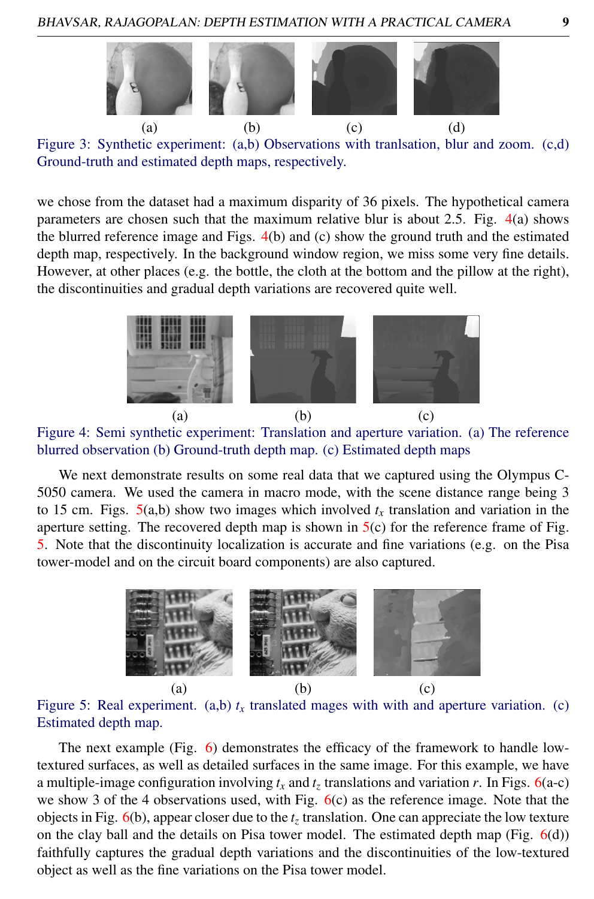

<span id="page-8-0"></span>Figure 3: Synthetic experiment: (a,b) Observations with tranlsation, blur and zoom. (c,d) Ground-truth and estimated depth maps, respectively.

we chose from the dataset had a maximum disparity of 36 pixels. The hypothetical camera parameters are chosen such that the maximum relative blur is about 2.5. Fig. [4\(](#page-8-1)a) shows the blurred reference image and Figs. [4\(](#page-8-1)b) and (c) show the ground truth and the estimated depth map, respectively. In the background window region, we miss some very fine details. However, at other places (e.g. the bottle, the cloth at the bottom and the pillow at the right), the discontinuities and gradual depth variations are recovered quite well.



<span id="page-8-1"></span>Figure 4: Semi synthetic experiment: Translation and aperture variation. (a) The reference blurred observation (b) Ground-truth depth map. (c) Estimated depth maps

We next demonstrate results on some real data that we captured using the Olympus C-5050 camera. We used the camera in macro mode, with the scene distance range being 3 to 15 cm. Figs.  $5(a,b)$  $5(a,b)$  show two images which involved  $t<sub>x</sub>$  translation and variation in the aperture setting. The recovered depth map is shown in  $5(c)$  $5(c)$  for the reference frame of Fig. [5.](#page-8-2) Note that the discontinuity localization is accurate and fine variations (e.g. on the Pisa tower-model and on the circuit board components) are also captured.



<span id="page-8-2"></span>Figure 5: Real experiment. (a,b)  $t<sub>x</sub>$  translated mages with with and aperture variation. (c) Estimated depth map.

The next example (Fig. [6\)](#page-9-0) demonstrates the efficacy of the framework to handle lowtextured surfaces, as well as detailed surfaces in the same image. For this example, we have a multiple-image configuration involving *t<sup>x</sup>* and *t<sup>z</sup>* translations and variation *r*. In Figs. [6\(](#page-9-0)a-c) we show 3 of the 4 observations used, with Fig.  $6(c)$  $6(c)$  as the reference image. Note that the objects in Fig. [6\(](#page-9-0)b), appear closer due to the *t<sup>z</sup>* translation. One can appreciate the low texture on the clay ball and the details on Pisa tower model. The estimated depth map (Fig.  $6(d)$  $6(d)$ ) faithfully captures the gradual depth variations and the discontinuities of the low-textured object as well as the fine variations on the Pisa tower model.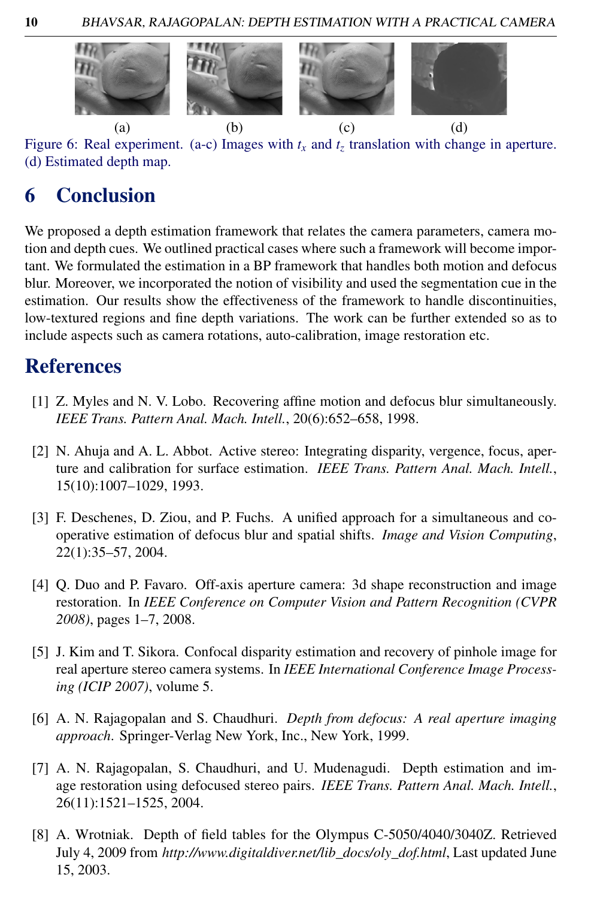

Figure 6: Real experiment. (a-c) Images with  $t_x$  and  $t_z$  translation with change in aperture. (d) Estimated depth map.

# <span id="page-9-0"></span>6 Conclusion

We proposed a depth estimation framework that relates the camera parameters, camera motion and depth cues. We outlined practical cases where such a framework will become important. We formulated the estimation in a BP framework that handles both motion and defocus blur. Moreover, we incorporated the notion of visibility and used the segmentation cue in the estimation. Our results show the effectiveness of the framework to handle discontinuities, low-textured regions and fine depth variations. The work can be further extended so as to include aspects such as camera rotations, auto-calibration, image restoration etc.

# References

- [1] Z. Myles and N. V. Lobo. Recovering affine motion and defocus blur simultaneously. *IEEE Trans. Pattern Anal. Mach. Intell.*, 20(6):652–658, 1998.
- [2] N. Ahuja and A. L. Abbot. Active stereo: Integrating disparity, vergence, focus, aperture and calibration for surface estimation. *IEEE Trans. Pattern Anal. Mach. Intell.*, 15(10):1007–1029, 1993.
- [3] F. Deschenes, D. Ziou, and P. Fuchs. A unified approach for a simultaneous and cooperative estimation of defocus blur and spatial shifts. *Image and Vision Computing*, 22(1):35–57, 2004.
- [4] Q. Duo and P. Favaro. Off-axis aperture camera: 3d shape reconstruction and image restoration. In *IEEE Conference on Computer Vision and Pattern Recognition (CVPR 2008)*, pages 1–7, 2008.
- [5] J. Kim and T. Sikora. Confocal disparity estimation and recovery of pinhole image for real aperture stereo camera systems. In *IEEE International Conference Image Processing (ICIP 2007)*, volume 5.
- [6] A. N. Rajagopalan and S. Chaudhuri. *Depth from defocus: A real aperture imaging approach*. Springer-Verlag New York, Inc., New York, 1999.
- [7] A. N. Rajagopalan, S. Chaudhuri, and U. Mudenagudi. Depth estimation and image restoration using defocused stereo pairs. *IEEE Trans. Pattern Anal. Mach. Intell.*, 26(11):1521–1525, 2004.
- [8] A. Wrotniak. Depth of field tables for the Olympus C-5050/4040/3040Z. Retrieved July 4, 2009 from *http://www.digitaldiver.net/lib\_docs/oly\_dof.html*, Last updated June 15, 2003.